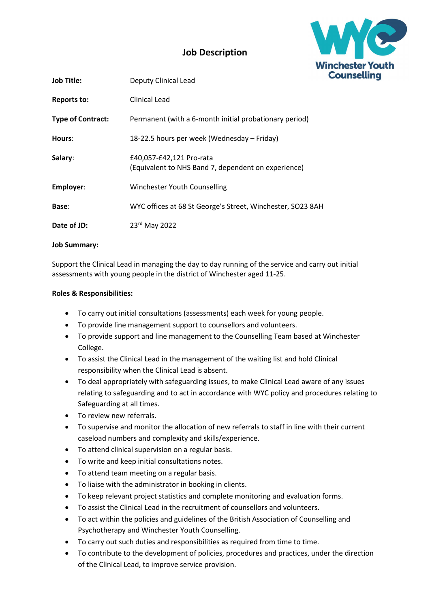

## Job Description

| <b>Job Title:</b>        | Deputy Clinical Lead                                                            |  |
|--------------------------|---------------------------------------------------------------------------------|--|
| Reports to:              | Clinical Lead                                                                   |  |
| <b>Type of Contract:</b> | Permanent (with a 6-month initial probationary period)                          |  |
| Hours:                   | 18-22.5 hours per week (Wednesday – Friday)                                     |  |
| Salary:                  | £40,057-£42,121 Pro-rata<br>(Equivalent to NHS Band 7, dependent on experience) |  |
| Employer:                | Winchester Youth Counselling                                                    |  |
| Base:                    | WYC offices at 68 St George's Street, Winchester, SO23 8AH                      |  |
| Date of JD:              | 23rd May 2022                                                                   |  |

## Job Summary:

Support the Clinical Lead in managing the day to day running of the service and carry out initial assessments with young people in the district of Winchester aged 11-25.

## Roles & Responsibilities:

- To carry out initial consultations (assessments) each week for young people.
- To provide line management support to counsellors and volunteers.
- To provide support and line management to the Counselling Team based at Winchester College.
- To assist the Clinical Lead in the management of the waiting list and hold Clinical responsibility when the Clinical Lead is absent.
- To deal appropriately with safeguarding issues, to make Clinical Lead aware of any issues relating to safeguarding and to act in accordance with WYC policy and procedures relating to Safeguarding at all times.
- To review new referrals.
- To supervise and monitor the allocation of new referrals to staff in line with their current caseload numbers and complexity and skills/experience.
- To attend clinical supervision on a regular basis.
- To write and keep initial consultations notes.
- To attend team meeting on a regular basis.
- To liaise with the administrator in booking in clients.
- To keep relevant project statistics and complete monitoring and evaluation forms.
- To assist the Clinical Lead in the recruitment of counsellors and volunteers.
- To act within the policies and guidelines of the British Association of Counselling and Psychotherapy and Winchester Youth Counselling.
- To carry out such duties and responsibilities as required from time to time.
- To contribute to the development of policies, procedures and practices, under the direction of the Clinical Lead, to improve service provision.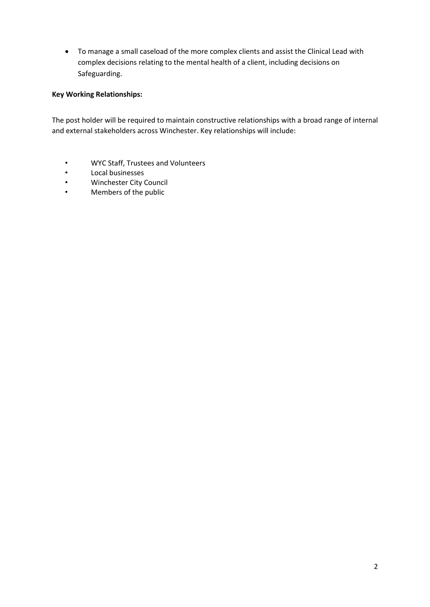To manage a small caseload of the more complex clients and assist the Clinical Lead with complex decisions relating to the mental health of a client, including decisions on Safeguarding.

## Key Working Relationships:

The post holder will be required to maintain constructive relationships with a broad range of internal and external stakeholders across Winchester. Key relationships will include:

- WYC Staff, Trustees and Volunteers
- Local businesses
- Winchester City Council<br>• Members of the public
- Members of the public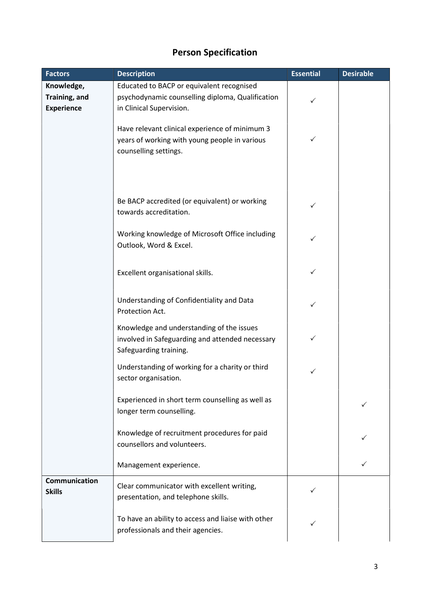| <b>Factors</b>    | <b>Description</b>                                                          | <b>Essential</b> | <b>Desirable</b> |
|-------------------|-----------------------------------------------------------------------------|------------------|------------------|
| Knowledge,        | Educated to BACP or equivalent recognised                                   |                  |                  |
| Training, and     | psychodynamic counselling diploma, Qualification                            | ✓                |                  |
| <b>Experience</b> | in Clinical Supervision.                                                    |                  |                  |
|                   | Have relevant clinical experience of minimum 3                              |                  |                  |
|                   | years of working with young people in various                               | $\checkmark$     |                  |
|                   | counselling settings.                                                       |                  |                  |
|                   |                                                                             |                  |                  |
|                   |                                                                             |                  |                  |
|                   |                                                                             |                  |                  |
|                   | Be BACP accredited (or equivalent) or working                               |                  |                  |
|                   | towards accreditation.                                                      | ✓                |                  |
|                   |                                                                             |                  |                  |
|                   | Working knowledge of Microsoft Office including                             | ✓                |                  |
|                   | Outlook, Word & Excel.                                                      |                  |                  |
|                   |                                                                             |                  |                  |
|                   | Excellent organisational skills.                                            | ✓                |                  |
|                   |                                                                             |                  |                  |
|                   | Understanding of Confidentiality and Data                                   | ✓                |                  |
|                   | Protection Act.                                                             |                  |                  |
|                   | Knowledge and understanding of the issues                                   |                  |                  |
|                   | involved in Safeguarding and attended necessary                             | $\checkmark$     |                  |
|                   | Safeguarding training.                                                      |                  |                  |
|                   | Understanding of working for a charity or third                             |                  |                  |
|                   | sector organisation.                                                        | ✓                |                  |
|                   |                                                                             |                  |                  |
|                   | Experienced in short term counselling as well as                            |                  |                  |
|                   | longer term counselling.                                                    |                  |                  |
|                   |                                                                             |                  |                  |
|                   | Knowledge of recruitment procedures for paid<br>counsellors and volunteers. |                  |                  |
|                   |                                                                             |                  |                  |
|                   | Management experience.                                                      |                  |                  |
| Communication     |                                                                             |                  |                  |
| <b>Skills</b>     | Clear communicator with excellent writing,                                  |                  |                  |
|                   | presentation, and telephone skills.                                         |                  |                  |
|                   | To have an ability to access and liaise with other                          |                  |                  |
|                   | professionals and their agencies.                                           |                  |                  |
|                   |                                                                             |                  |                  |